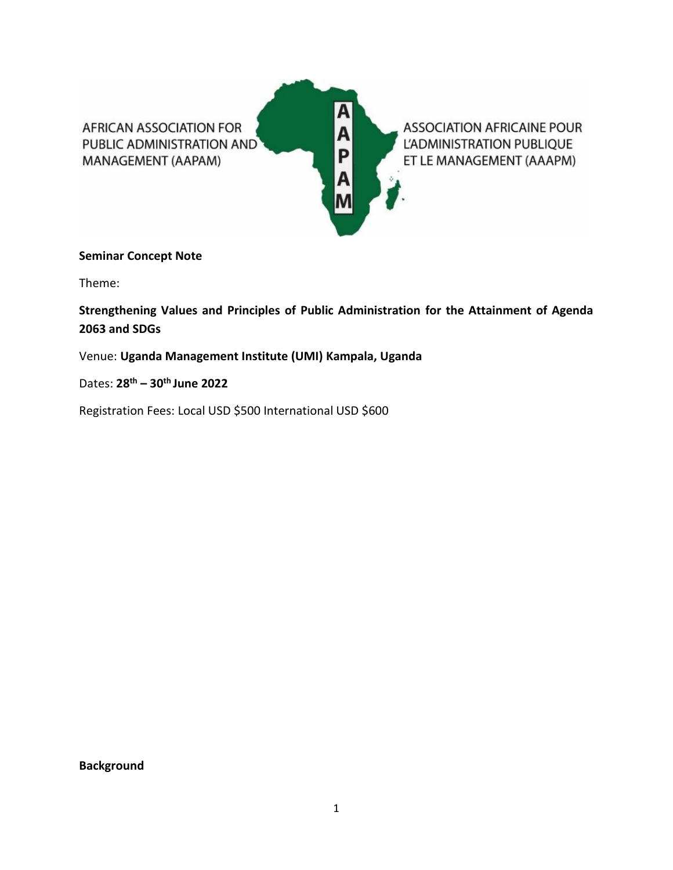

# **Seminar Concept Note**

Theme:

**Strengthening Values and Principles of Public Administration for the Attainment of Agenda 2063 and SDGs** 

Venue: **Uganda Management Institute (UMI) Kampala, Uganda**

Dates: **28 th – 30th June 2022**

Registration Fees: Local USD \$500 International USD \$600

**Background**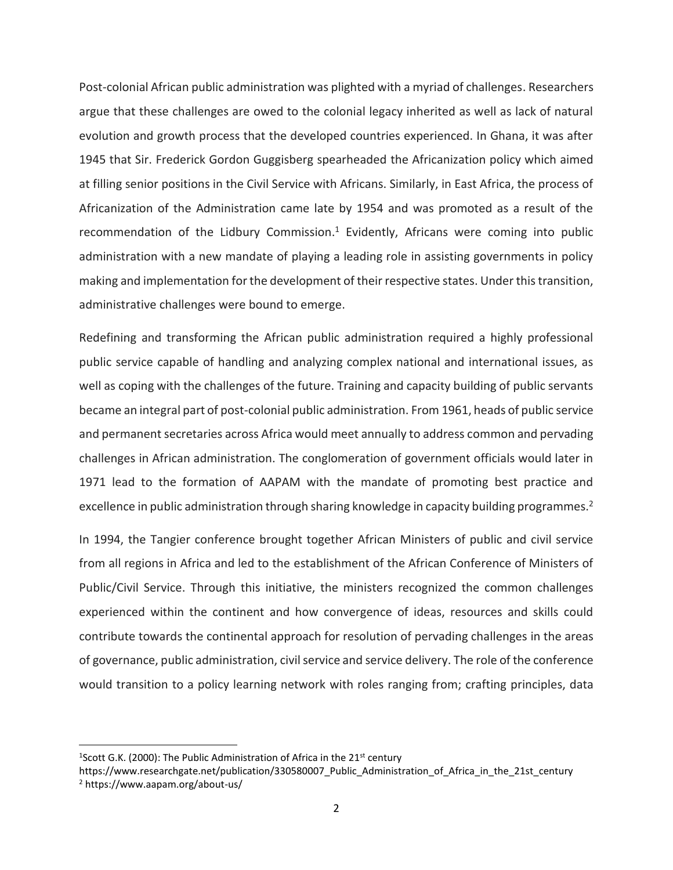Post-colonial African public administration was plighted with a myriad of challenges. Researchers argue that these challenges are owed to the colonial legacy inherited as well as lack of natural evolution and growth process that the developed countries experienced. In Ghana, it was after 1945 that Sir. Frederick Gordon Guggisberg spearheaded the Africanization policy which aimed at filling senior positions in the Civil Service with Africans. Similarly, in East Africa, the process of Africanization of the Administration came late by 1954 and was promoted as a result of the recommendation of the Lidbury Commission.<sup>1</sup> Evidently, Africans were coming into public administration with a new mandate of playing a leading role in assisting governments in policy making and implementation for the development of their respective states. Under this transition, administrative challenges were bound to emerge.

Redefining and transforming the African public administration required a highly professional public service capable of handling and analyzing complex national and international issues, as well as coping with the challenges of the future. Training and capacity building of public servants became an integral part of post-colonial public administration. From 1961, heads of public service and permanent secretaries across Africa would meet annually to address common and pervading challenges in African administration. The conglomeration of government officials would later in 1971 lead to the formation of AAPAM with the mandate of promoting best practice and excellence in public administration through sharing knowledge in capacity building programmes.<sup>2</sup>

In 1994, the Tangier conference brought together African Ministers of public and civil service from all regions in Africa and led to the establishment of the African Conference of Ministers of Public/Civil Service. Through this initiative, the ministers recognized the common challenges experienced within the continent and how convergence of ideas, resources and skills could contribute towards the continental approach for resolution of pervading challenges in the areas of governance, public administration, civil service and service delivery. The role of the conference would transition to a policy learning network with roles ranging from; crafting principles, data

<sup>&</sup>lt;sup>1</sup>Scott G.K. (2000): The Public Administration of Africa in the 21<sup>st</sup> century

https://www.researchgate.net/publication/330580007\_Public\_Administration\_of\_Africa\_in\_the\_21st\_century <sup>2</sup> https://www.aapam.org/about-us/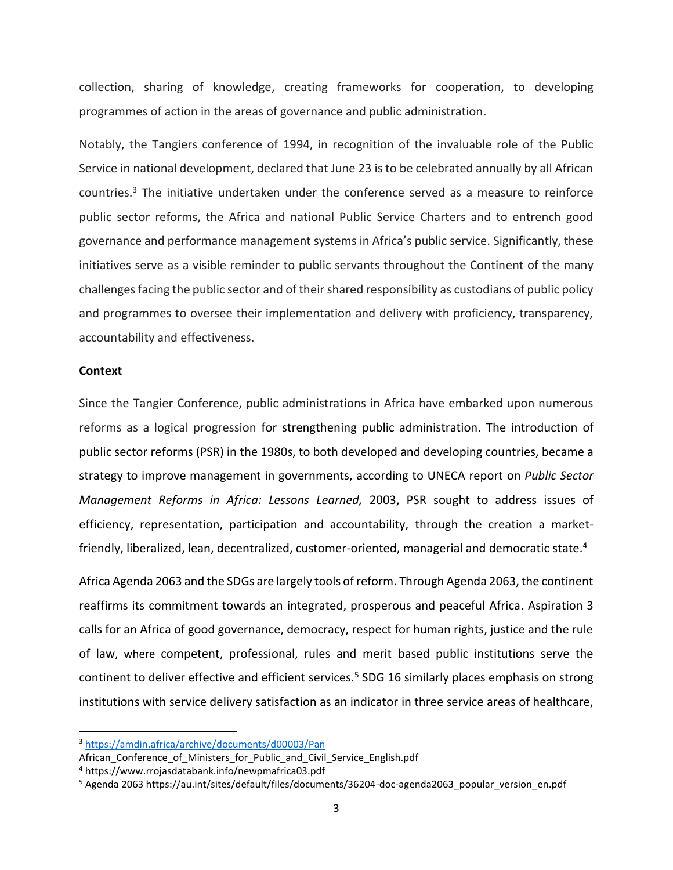collection, sharing of knowledge, creating frameworks for cooperation, to developing programmes of action in the areas of governance and public administration.

Notably, the Tangiers conference of 1994, in recognition of the invaluable role of the Public Service in national development, declared that June 23 is to be celebrated annually by all African countries.<sup>3</sup> The initiative undertaken under the conference served as a measure to reinforce public sector reforms, the Africa and national Public Service Charters and to entrench good governance and performance management systems in Africa's public service. Significantly, these initiatives serve as a visible reminder to public servants throughout the Continent of the many challenges facing the public sector and of their shared responsibility as custodians of public policy and programmes to oversee their implementation and delivery with proficiency, transparency, accountability and effectiveness.

### **Context**

Since the Tangier Conference, public administrations in Africa have embarked upon numerous reforms as a logical progression for strengthening public administration. The introduction of public sector reforms (PSR) in the 1980s, to both developed and developing countries, became a strategy to improve management in governments, according to UNECA report on *Public Sector Management Reforms in Africa: Lessons Learned,* 2003, PSR sought to address issues of efficiency, representation, participation and accountability, through the creation a marketfriendly, liberalized, lean, decentralized, customer-oriented, managerial and democratic state. 4

Africa Agenda 2063 and the SDGs are largely tools of reform. Through Agenda 2063, the continent reaffirms its commitment towards an integrated, prosperous and peaceful Africa. Aspiration 3 calls for an Africa of good governance, democracy, respect for human rights, justice and the rule of law, where competent, professional, rules and merit based public institutions serve the continent to deliver effective and efficient services.<sup>5</sup> SDG 16 similarly places emphasis on strong institutions with service delivery satisfaction as an indicator in three service areas of healthcare,

<sup>3</sup> <https://amdin.africa/archive/documents/d00003/Pan>

African Conference of Ministers for Public and Civil Service English.pdf

<sup>4</sup> https://www.rrojasdatabank.info/newpmafrica03.pdf

<sup>5</sup> Agenda 2063 https://au.int/sites/default/files/documents/36204-doc-agenda2063\_popular\_version\_en.pdf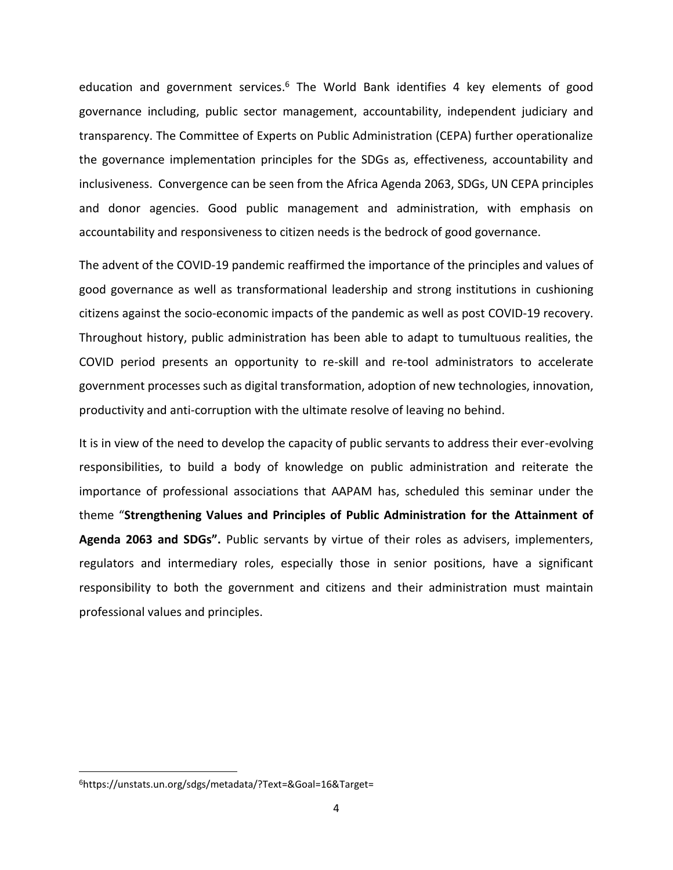education and government services.<sup>6</sup> The World Bank identifies 4 key elements of good governance including, public sector management, accountability, independent judiciary and transparency. The Committee of Experts on Public Administration (CEPA) further operationalize the governance implementation principles for the SDGs as, effectiveness, accountability and inclusiveness. Convergence can be seen from the Africa Agenda 2063, SDGs, UN CEPA principles and donor agencies. Good public management and administration, with emphasis on accountability and responsiveness to citizen needs is the bedrock of good governance.

The advent of the COVID-19 pandemic reaffirmed the importance of the principles and values of good governance as well as transformational leadership and strong institutions in cushioning citizens against the socio-economic impacts of the pandemic as well as post COVID-19 recovery. Throughout history, public administration has been able to adapt to tumultuous realities, the COVID period presents an opportunity to re-skill and re-tool administrators to accelerate government processes such as digital transformation, adoption of new technologies, innovation, productivity and anti-corruption with the ultimate resolve of leaving no behind.

It is in view of the need to develop the capacity of public servants to address their ever-evolving responsibilities, to build a body of knowledge on public administration and reiterate the importance of professional associations that AAPAM has, scheduled this seminar under the theme "**Strengthening Values and Principles of Public Administration for the Attainment of Agenda 2063 and SDGs".** Public servants by virtue of their roles as advisers, implementers, regulators and intermediary roles, especially those in senior positions, have a significant responsibility to both the government and citizens and their administration must maintain professional values and principles.

<sup>6</sup>https://unstats.un.org/sdgs/metadata/?Text=&Goal=16&Target=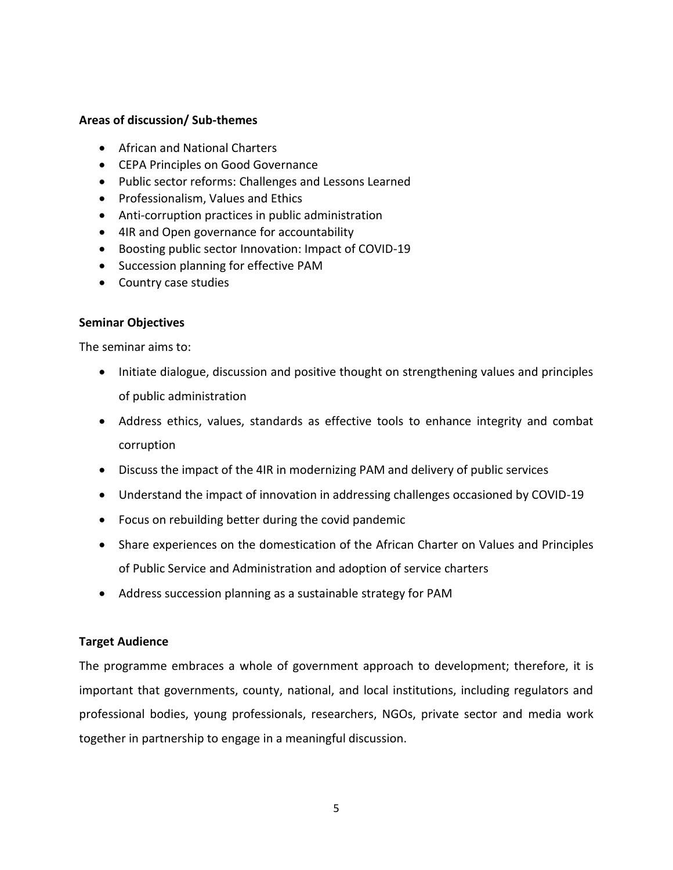# **Areas of discussion/ Sub-themes**

- African and National Charters
- CEPA Principles on Good Governance
- Public sector reforms: Challenges and Lessons Learned
- Professionalism, Values and Ethics
- Anti-corruption practices in public administration
- 4IR and Open governance for accountability
- Boosting public sector Innovation: Impact of COVID-19
- Succession planning for effective PAM
- Country case studies

## **Seminar Objectives**

The seminar aims to:

- Initiate dialogue, discussion and positive thought on strengthening values and principles of public administration
- Address ethics, values, standards as effective tools to enhance integrity and combat corruption
- Discuss the impact of the 4IR in modernizing PAM and delivery of public services
- Understand the impact of innovation in addressing challenges occasioned by COVID-19
- Focus on rebuilding better during the covid pandemic
- Share experiences on the domestication of the African Charter on Values and Principles of Public Service and Administration and adoption of service charters
- Address succession planning as a sustainable strategy for PAM

## **Target Audience**

The programme embraces a whole of government approach to development; therefore, it is important that governments, county, national, and local institutions, including regulators and professional bodies, young professionals, researchers, NGOs, private sector and media work together in partnership to engage in a meaningful discussion.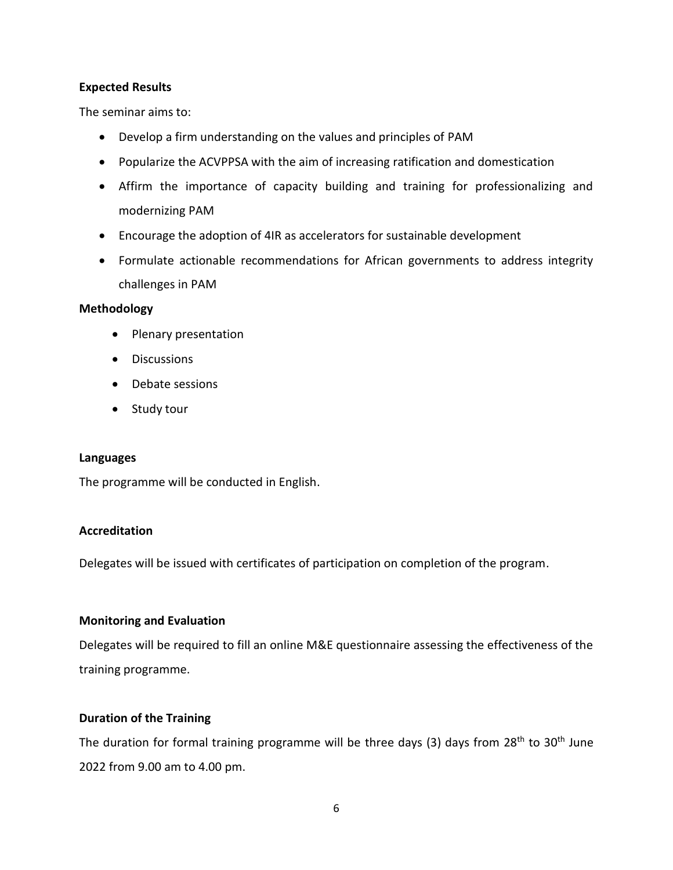# **Expected Results**

The seminar aims to:

- Develop a firm understanding on the values and principles of PAM
- Popularize the ACVPPSA with the aim of increasing ratification and domestication
- Affirm the importance of capacity building and training for professionalizing and modernizing PAM
- Encourage the adoption of 4IR as accelerators for sustainable development
- Formulate actionable recommendations for African governments to address integrity challenges in PAM

# **Methodology**

- Plenary presentation
- Discussions
- Debate sessions
- Study tour

## **Languages**

The programme will be conducted in English.

# **Accreditation**

Delegates will be issued with certificates of participation on completion of the program.

# **Monitoring and Evaluation**

Delegates will be required to fill an online M&E questionnaire assessing the effectiveness of the training programme.

# **Duration of the Training**

The duration for formal training programme will be three days (3) days from  $28<sup>th</sup>$  to  $30<sup>th</sup>$  June 2022 from 9.00 am to 4.00 pm.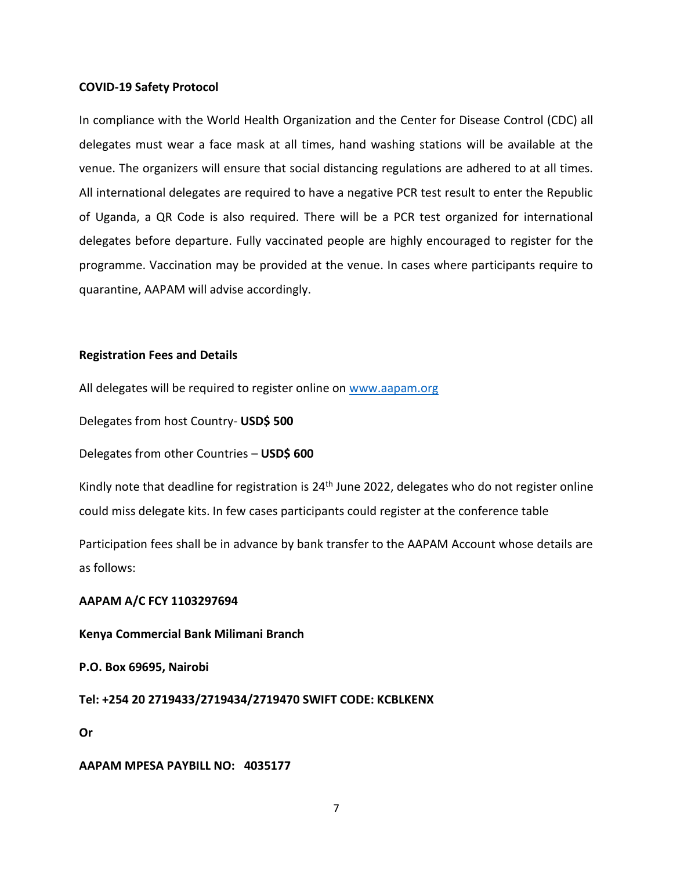### **COVID-19 Safety Protocol**

In compliance with the World Health Organization and the Center for Disease Control (CDC) all delegates must wear a face mask at all times, hand washing stations will be available at the venue. The organizers will ensure that social distancing regulations are adhered to at all times. All international delegates are required to have a negative PCR test result to enter the Republic of Uganda, a QR Code is also required. There will be a PCR test organized for international delegates before departure. Fully vaccinated people are highly encouraged to register for the programme. Vaccination may be provided at the venue. In cases where participants require to quarantine, AAPAM will advise accordingly.

## **Registration Fees and Details**

All delegates will be required to register online on [www.aapam.org](http://www.aapam.org/)

Delegates from host Country- **USD\$ 500**

Delegates from other Countries – **USD\$ 600**

Kindly note that deadline for registration is 24<sup>th</sup> June 2022, delegates who do not register online could miss delegate kits. In few cases participants could register at the conference table

Participation fees shall be in advance by bank transfer to the AAPAM Account whose details are as follows:

### **AAPAM A/C FCY 1103297694**

## **Kenya Commercial Bank Milimani Branch**

**P.O. Box 69695, Nairobi**

**Tel: +254 20 2719433/2719434/2719470 SWIFT CODE: KCBLKENX**

**Or**

#### **AAPAM MPESA PAYBILL NO: 4035177**

7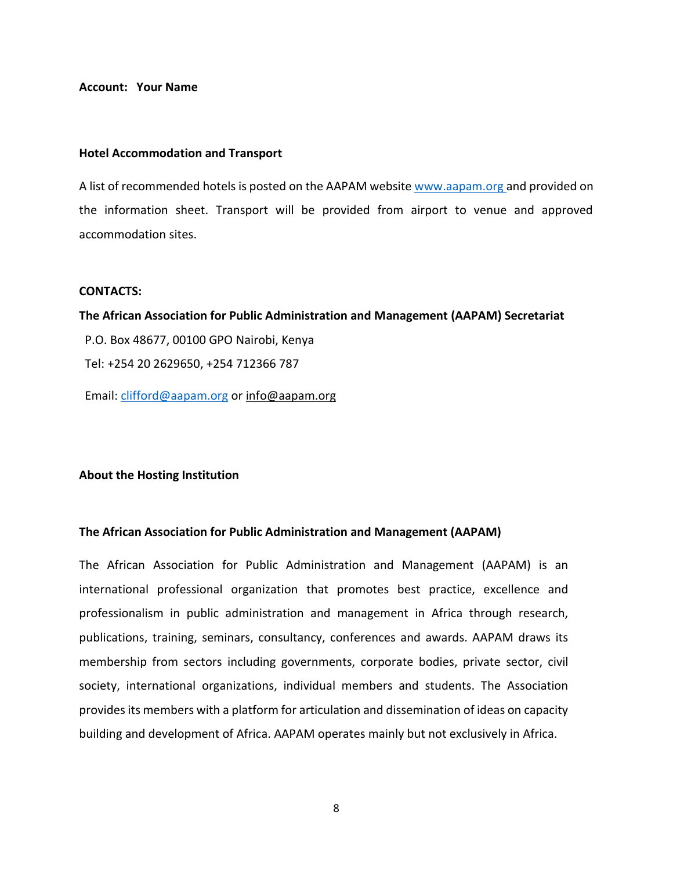#### **Account: Your Name**

#### **Hotel Accommodation and Transport**

A list of recommended hotels is posted on the AAPAM website [www.aapam.org a](http://www.aapam.org/)nd provided on the information sheet. Transport will be provided from airport to venue and approved accommodation sites.

#### **CONTACTS:**

**The African Association for Public Administration and Management (AAPAM) Secretariat** P.O. Box 48677, 00100 GPO Nairobi, Kenya Tel: +254 20 2629650, +254 712366 787 Email: [clifford@aapam.org](mailto:clifford@aapam.org) o[r info@aapam.org](mailto:info@aapam.org)

### **About the Hosting Institution**

## **The African Association for Public Administration and Management (AAPAM)**

The African Association for Public Administration and Management (AAPAM) is an international professional organization that promotes best practice, excellence and professionalism in public administration and management in Africa through research, publications, training, seminars, consultancy, conferences and awards. AAPAM draws its membership from sectors including governments, corporate bodies, private sector, civil society, international organizations, individual members and students. The Association provides its members with a platform for articulation and dissemination of ideas on capacity building and development of Africa. AAPAM operates mainly but not exclusively in Africa.